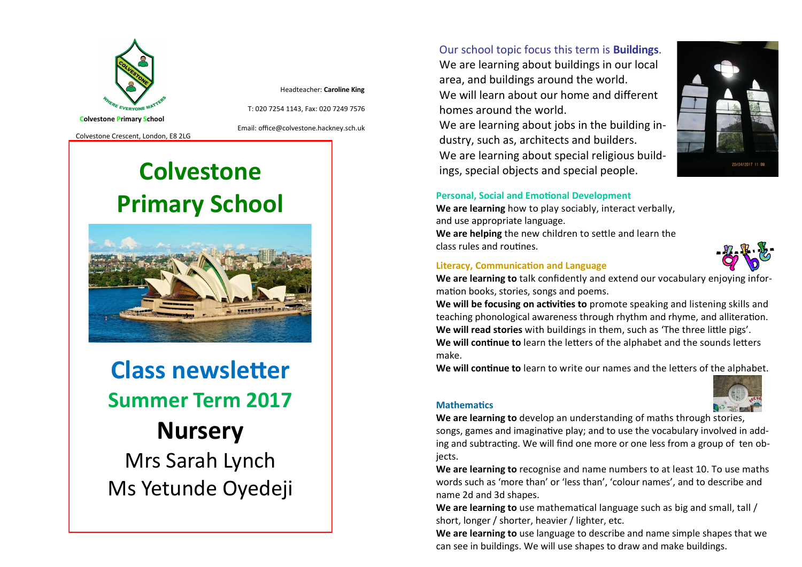

Headteacher: **Caroline King**

T: 020 7254 1143, Fax: 020 7249 7576

Colvestone Crescent, London, E8 2LG

Email: office@colvestone.hackney.sch.uk

# **Colvestone Primary School**



**Class newsletter Summer Term 2017 Nursery**  Mrs Sarah Lynch Ms Yetunde Oyedeji Our school topic focus this term is **Buildings**.

We are learning about buildings in our local area, and buildings around the world. We will learn about our home and different homes around the world.

We are learning about jobs in the building industry, such as, architects and builders. We are learning about special religious buildings, special objects and special people.



# **Personal, Social and Emotional Development**

**We are learning** how to play sociably, interact verbally, and use appropriate language. **We are helping** the new children to settle and learn the

class rules and routines.



## **Literacy, Communication and Language**

**We are learning to** talk confidently and extend our vocabulary enjoying information books, stories, songs and poems.

**We will be focusing on activities to** promote speaking and listening skills and teaching phonological awareness through rhythm and rhyme, and alliteration. **We will read stories** with buildings in them, such as 'The three little pigs'. **We will continue to** learn the letters of the alphabet and the sounds letters make.

**We will continue to** learn to write our names and the letters of the alphabet.



# **Mathematics**

**We are learning to** develop an understanding of maths through stories, songs, games and imaginative play; and to use the vocabulary involved in adding and subtracting. We will find one more or one less from a group of ten objects.

**We are learning to** recognise and name numbers to at least 10. To use maths words such as 'more than' or 'less than', 'colour names', and to describe and name 2d and 3d shapes.

**We are learning to** use mathematical language such as big and small, tall / short, longer / shorter, heavier / lighter, etc.

**We are learning to** use language to describe and name simple shapes that we can see in buildings. We will use shapes to draw and make buildings.